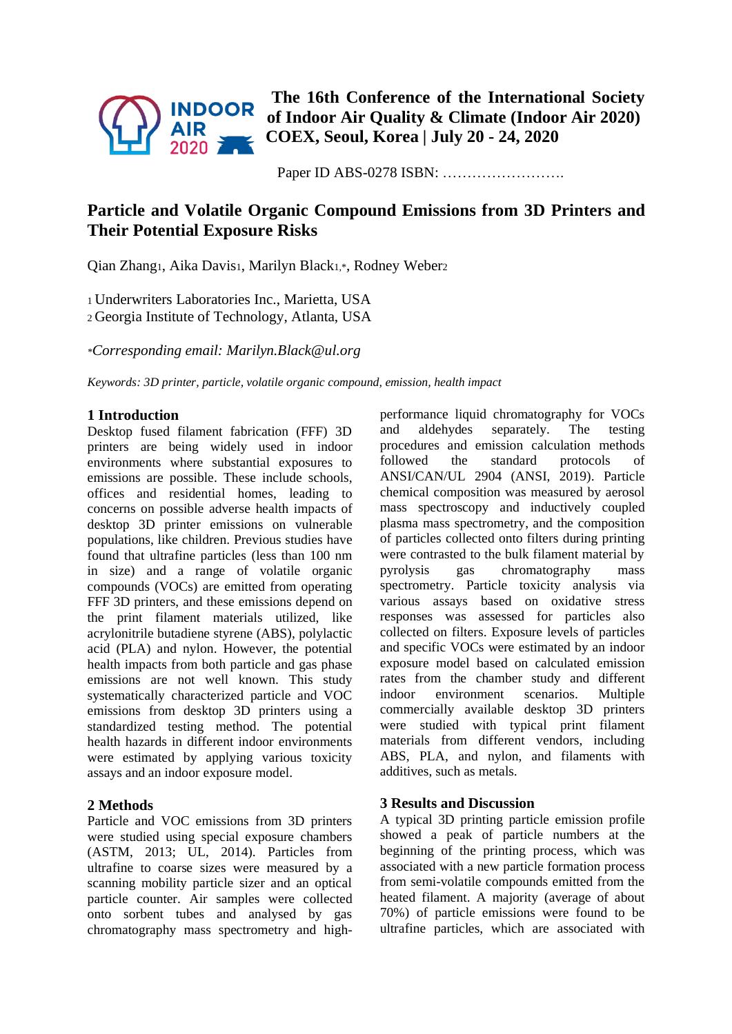

**The 16th Conference of the International Society of Indoor Air Quality & Climate (Indoor Air 2020) COEX, Seoul, Korea | July 20 - 24, 2020**

Paper ID ABS-0278 ISBN: …………………….

# **Particle and Volatile Organic Compound Emissions from 3D Printers and Their Potential Exposure Risks**

Qian Zhang1, Aika Davis1, Marilyn Black1,\*, Rodney Weber<sup>2</sup>

<sup>1</sup> Underwriters Laboratories Inc., Marietta, USA <sup>2</sup> Georgia Institute of Technology, Atlanta, USA

*\*Corresponding email: Marilyn.Black@ul.org*

*Keywords: 3D printer, particle, volatile organic compound, emission, health impact*

## **1 Introduction**

Desktop fused filament fabrication (FFF) 3D printers are being widely used in indoor environments where substantial exposures to emissions are possible. These include schools, offices and residential homes, leading to concerns on possible adverse health impacts of desktop 3D printer emissions on vulnerable populations, like children. Previous studies have found that ultrafine particles (less than 100 nm in size) and a range of volatile organic compounds (VOCs) are emitted from operating FFF 3D printers, and these emissions depend on the print filament materials utilized, like acrylonitrile butadiene styrene (ABS), polylactic acid (PLA) and nylon. However, the potential health impacts from both particle and gas phase emissions are not well known. This study systematically characterized particle and VOC emissions from desktop 3D printers using a standardized testing method. The potential health hazards in different indoor environments were estimated by applying various toxicity assays and an indoor exposure model.

## **2 Methods**

Particle and VOC emissions from 3D printers were studied using special exposure chambers (ASTM, 2013; UL, 2014). Particles from ultrafine to coarse sizes were measured by a scanning mobility particle sizer and an optical particle counter. Air samples were collected onto sorbent tubes and analysed by gas chromatography mass spectrometry and highperformance liquid chromatography for VOCs and aldehydes separately. The testing procedures and emission calculation methods followed the standard protocols of ANSI/CAN/UL 2904 (ANSI, 2019). Particle chemical composition was measured by aerosol mass spectroscopy and inductively coupled plasma mass spectrometry, and the composition of particles collected onto filters during printing were contrasted to the bulk filament material by pyrolysis gas chromatography mass spectrometry. Particle toxicity analysis via various assays based on oxidative stress responses was assessed for particles also collected on filters. Exposure levels of particles and specific VOCs were estimated by an indoor exposure model based on calculated emission rates from the chamber study and different indoor environment scenarios. Multiple commercially available desktop 3D printers were studied with typical print filament materials from different vendors, including ABS, PLA, and nylon, and filaments with additives, such as metals.

## **3 Results and Discussion**

A typical 3D printing particle emission profile showed a peak of particle numbers at the beginning of the printing process, which was associated with a new particle formation process from semi-volatile compounds emitted from the heated filament. A majority (average of about 70%) of particle emissions were found to be ultrafine particles, which are associated with